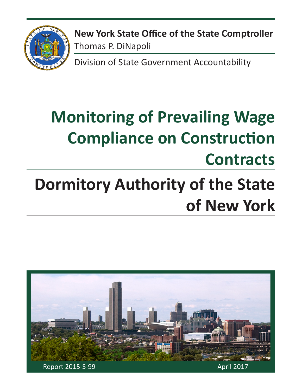

**New York State Office of the State Comptroller** Thomas P. DiNapoli

Division of State Government Accountability

# **Monitoring of Prevailing Wage Compliance on Construction Contracts**

# **Dormitory Authority of the State of New York**

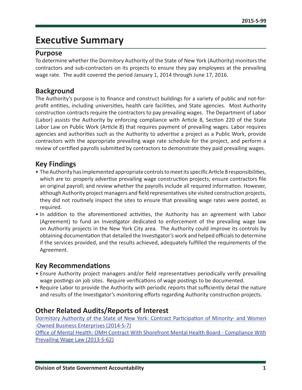## **Executive Summary**

#### **Purpose**

To determine whether the Dormitory Authority of the State of New York (Authority) monitors the contractors and sub-contractors on its projects to ensure they pay employees at the prevailing wage rate. The audit covered the period January 1, 2014 through June 17, 2016.

#### **Background**

The Authority's purpose is to finance and construct buildings for a variety of public and not-forprofit entities, including universities, health care facilities, and State agencies. Most Authority construction contracts require the contractors to pay prevailing wages. The Department of Labor (Labor) assists the Authority by enforcing compliance with Article 8, Section 220 of the State Labor Law on Public Work (Article 8) that requires payment of prevailing wages. Labor requires agencies and authorities such as the Authority to advertise a project as a Public Work, provide contractors with the appropriate prevailing wage rate schedule for the project, and perform a review of certified payrolls submitted by contractors to demonstrate they paid prevailing wages.

#### **Key Findings**

- The Authority has implemented appropriate controls to meet its specific Article 8 responsibilities, which are to: properly advertise prevailing wage construction projects; ensure contractors file an original payroll; and review whether the payrolls include all required information. However, although Authority project managers and field representatives site visited construction projects, they did not routinely inspect the sites to ensure that prevailing wage rates were posted, as required.
- In addition to the aforementioned activities, the Authority has an agreement with Labor (Agreement) to fund an Investigator dedicated to enforcement of the prevailing wage law on Authority projects in the New York City area. The Authority could improve its controls by obtaining documentation that detailed the Investigator's work and helped officials to determine if the services provided, and the results achieved, adequately fulfilled the requirements of the Agreement.

#### **Key Recommendations**

- Ensure Authority project managers and/or field representatives periodically verify prevailing wage postings on job sites. Require verifications of wage postings to be documented.
- Require Labor to provide the Authority with periodic reports that sufficiently detail the nature and results of the Investigator's monitoring efforts regarding Authority construction projects.

#### **Other Related Audits/Reports of Interest**

[Dormitory Authority of the State of New York: Contract Participation of Minority- and Women](http://osc.state.ny.us/audits/allaudits/093015/14s7.pdf)  [-Owned Business Enterprises \(2014-S-7\)](http://osc.state.ny.us/audits/allaudits/093015/14s7.pdf)

[Office of Mental Health: OMH Contract With Shorefront Mental Health Board - Compliance With](http://osc.state.ny.us/audits/allaudits/093015/13s62.pdf)  [Prevailing Wage Law \(2013-S-62\)](http://osc.state.ny.us/audits/allaudits/093015/13s62.pdf)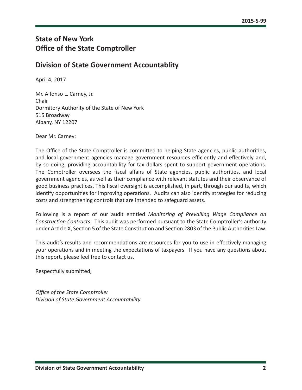### **State of New York Office of the State Comptroller**

#### **Division of State Government Accountablity**

April 4, 2017

Mr. Alfonso L. Carney, Jr. Chair Dormitory Authority of the State of New York 515 Broadway Albany, NY 12207

Dear Mr. Carney:

The Office of the State Comptroller is committed to helping State agencies, public authorities, and local government agencies manage government resources efficiently and effectively and, by so doing, providing accountability for tax dollars spent to support government operations. The Comptroller oversees the fiscal affairs of State agencies, public authorities, and local government agencies, as well as their compliance with relevant statutes and their observance of good business practices. This fiscal oversight is accomplished, in part, through our audits, which identify opportunities for improving operations. Audits can also identify strategies for reducing costs and strengthening controls that are intended to safeguard assets.

Following is a report of our audit entitled *Monitoring of Prevailing Wage Compliance on Construction Contracts*. This audit was performed pursuant to the State Comptroller's authority under Article X, Section 5 of the State Constitution and Section 2803 of the Public Authorities Law.

This audit's results and recommendations are resources for you to use in effectively managing your operations and in meeting the expectations of taxpayers. If you have any questions about this report, please feel free to contact us.

Respectfully submitted,

*Office of the State Comptroller Division of State Government Accountability*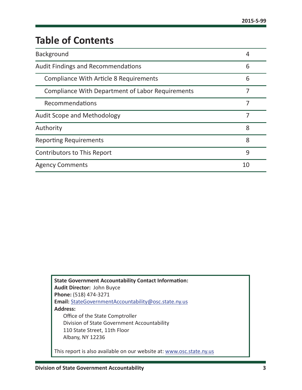## **Table of Contents**

| <b>Background</b>                                       | 4  |
|---------------------------------------------------------|----|
| <b>Audit Findings and Recommendations</b>               | 6  |
| <b>Compliance With Article 8 Requirements</b>           | 6  |
| <b>Compliance With Department of Labor Requirements</b> |    |
| Recommendations                                         | 7  |
| <b>Audit Scope and Methodology</b>                      | 7  |
| Authority                                               | 8  |
| <b>Reporting Requirements</b>                           | 8  |
| <b>Contributors to This Report</b>                      | 9  |
| <b>Agency Comments</b>                                  | 10 |

| <b>State Government Accountability Contact Information:</b>          |
|----------------------------------------------------------------------|
| <b>Audit Director: John Buyce</b>                                    |
| Phone: (518) 474-3271                                                |
| Email: StateGovernmentAccountability@osc.state.ny.us                 |
| <b>Address:</b>                                                      |
| Office of the State Comptroller                                      |
| Division of State Government Accountability                          |
| 110 State Street, 11th Floor                                         |
| Albany, NY 12236                                                     |
|                                                                      |
| This report is also available on our website at: www.osc.state.ny.us |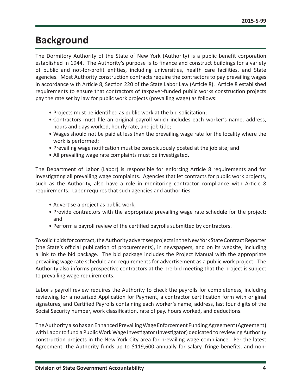## <span id="page-4-0"></span>**Background**

The Dormitory Authority of the State of New York (Authority) is a public benefit corporation established in 1944. The Authority's purpose is to finance and construct buildings for a variety of public and not-for-profit entities, including universities, health care facilities, and State agencies. Most Authority construction contracts require the contractors to pay prevailing wages in accordance with Article 8, Section 220 of the State Labor Law (Article 8). Article 8 established requirements to ensure that contractors of taxpayer-funded public works construction projects pay the rate set by law for public work projects (prevailing wage) as follows:

- Projects must be identified as public work at the bid solicitation;
- Contractors must file an original payroll which includes each worker's name, address, hours and days worked, hourly rate, and job title;
- Wages should not be paid at less than the prevailing wage rate for the locality where the work is performed;
- Prevailing wage notification must be conspicuously posted at the job site; and
- All prevailing wage rate complaints must be investigated.

The Department of Labor (Labor) is responsible for enforcing Article 8 requirements and for investigating all prevailing wage complaints. Agencies that let contracts for public work projects, such as the Authority, also have a role in monitoring contractor compliance with Article 8 requirements. Labor requires that such agencies and authorities:

- Advertise a project as public work;
- Provide contractors with the appropriate prevailing wage rate schedule for the project; and
- Perform a payroll review of the certified payrolls submitted by contractors.

To solicit bids for contract, the Authority advertises projects in the New York State Contract Reporter (the State's official publication of procurements), in newspapers, and on its website, including a link to the bid package. The bid package includes the Project Manual with the appropriate prevailing wage rate schedule and requirements for advertisement as a public work project. The Authority also informs prospective contractors at the pre-bid meeting that the project is subject to prevailing wage requirements.

Labor's payroll review requires the Authority to check the payrolls for completeness, including reviewing for a notarized Application for Payment, a contractor certification form with original signatures, and Certified Payrolls containing each worker's name, address, last four digits of the Social Security number, work classification, rate of pay, hours worked, and deductions.

The Authority also has an Enhanced Prevailing Wage Enforcement Funding Agreement (Agreement) with Labor to fund a Public Work Wage Investigator (Investigator) dedicated to reviewing Authority construction projects in the New York City area for prevailing wage compliance. Per the latest Agreement, the Authority funds up to \$119,600 annually for salary, fringe benefits, and non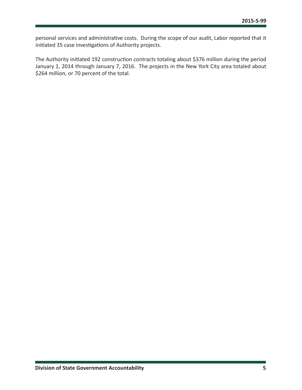personal services and administrative costs. During the scope of our audit, Labor reported that it initiated 35 case investigations of Authority projects.

The Authority initiated 192 construction contracts totaling about \$376 million during the period January 1, 2014 through January 7, 2016. The projects in the New York City area totaled about \$264 million, or 70 percent of the total.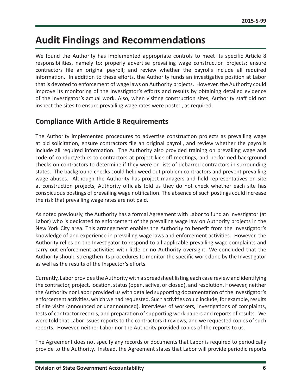## <span id="page-6-0"></span>**Audit Findings and Recommendations**

We found the Authority has implemented appropriate controls to meet its specific Article 8 responsibilities, namely to: properly advertise prevailing wage construction projects; ensure contractors file an original payroll; and review whether the payrolls include all required information. In addition to these efforts, the Authority funds an investigative position at Labor that is devoted to enforcement of wage laws on Authority projects. However, the Authority could improve its monitoring of the Investigator's efforts and results by obtaining detailed evidence of the Investigator's actual work. Also, when visiting construction sites, Authority staff did not inspect the sites to ensure prevailing wage rates were posted, as required.

#### **Compliance With Article 8 Requirements**

The Authority implemented procedures to advertise construction projects as prevailing wage at bid solicitation, ensure contractors file an original payroll, and review whether the payrolls include all required information. The Authority also provided training on prevailing wage and code of conduct/ethics to contractors at project kick-off meetings, and performed background checks on contractors to determine if they were on lists of debarred contractors in surrounding states. The background checks could help weed out problem contractors and prevent prevailing wage abuses. Although the Authority has project managers and field representatives on site at construction projects, Authority officials told us they do not check whether each site has conspicuous postings of prevailing wage notification. The absence of such postings could increase the risk that prevailing wage rates are not paid.

As noted previously, the Authority has a formal Agreement with Labor to fund an Investigator (at Labor) who is dedicated to enforcement of the prevailing wage law on Authority projects in the New York City area. This arrangement enables the Authority to benefit from the Investigator's knowledge of and experience in prevailing wage laws and enforcement activities. However, the Authority relies on the Investigator to respond to all applicable prevailing wage complaints and carry out enforcement activities with little or no Authority oversight. We concluded that the Authority should strengthen its procedures to monitor the specific work done by the Investigator as well as the results of the Inspector's efforts.

Currently, Labor provides the Authority with a spreadsheet listing each case review and identifying the contractor, project, location, status (open, active, or closed), and resolution. However, neither the Authority nor Labor provided us with detailed supporting documentation of the Investigator's enforcement activities, which we had requested. Such activities could include, for example, results of site visits (announced or unannounced), interviews of workers, investigations of complaints, tests of contractor records, and preparation of supporting work papers and reports of results. We were told that Labor issues reports to the contractors it reviews, and we requested copies of such reports. However, neither Labor nor the Authority provided copies of the reports to us.

The Agreement does not specify any records or documents that Labor is required to periodically provide to the Authority. Instead, the Agreement states that Labor will provide periodic reports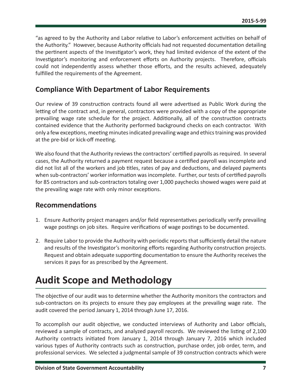<span id="page-7-0"></span>"as agreed to by the Authority and Labor relative to Labor's enforcement activities on behalf of the Authority." However, because Authority officials had not requested documentation detailing the pertinent aspects of the Investigator's work, they had limited evidence of the extent of the Investigator's monitoring and enforcement efforts on Authority projects. Therefore, officials could not independently assess whether those efforts, and the results achieved, adequately fulfilled the requirements of the Agreement.

#### **Compliance With Department of Labor Requirements**

Our review of 39 construction contracts found all were advertised as Public Work during the letting of the contract and, in general, contractors were provided with a copy of the appropriate prevailing wage rate schedule for the project. Additionally, all of the construction contracts contained evidence that the Authority performed background checks on each contractor. With only a few exceptions, meeting minutes indicated prevailing wage and ethics training was provided at the pre-bid or kick-off meeting.

We also found that the Authority reviews the contractors' certified payrolls as required. In several cases, the Authority returned a payment request because a certified payroll was incomplete and did not list all of the workers and job titles, rates of pay and deductions, and delayed payments when sub-contractors' worker information was incomplete. Further, our tests of certified payrolls for 85 contractors and sub-contractors totaling over 1,000 paychecks showed wages were paid at the prevailing wage rate with only minor exceptions.

#### **Recommendations**

- 1. Ensure Authority project managers and/or field representatives periodically verify prevailing wage postings on job sites. Require verifications of wage postings to be documented.
- 2. Require Labor to provide the Authority with periodic reports that sufficiently detail the nature and results of the Investigator's monitoring efforts regarding Authority construction projects. Request and obtain adequate supporting documentation to ensure the Authority receives the services it pays for as prescribed by the Agreement.

## **Audit Scope and Methodology**

The objective of our audit was to determine whether the Authority monitors the contractors and sub-contractors on its projects to ensure they pay employees at the prevailing wage rate. The audit covered the period January 1, 2014 through June 17, 2016.

To accomplish our audit objective, we conducted interviews of Authority and Labor officials, reviewed a sample of contracts, and analyzed payroll records. We reviewed the listing of 2,100 Authority contracts initiated from January 1, 2014 through January 7, 2016 which included various types of Authority contracts such as construction, purchase order, job order, term, and professional services. We selected a judgmental sample of 39 construction contracts which were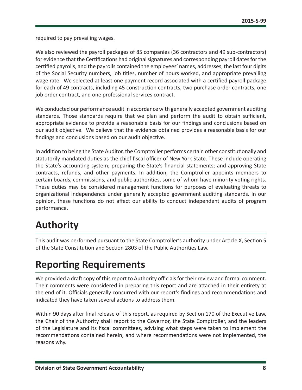<span id="page-8-0"></span>required to pay prevailing wages.

We also reviewed the payroll packages of 85 companies (36 contractors and 49 sub-contractors) for evidence that the Certifications had original signatures and corresponding payroll dates for the certified payrolls, and the payrolls contained the employees' names, addresses, the last four digits of the Social Security numbers, job titles, number of hours worked, and appropriate prevailing wage rate. We selected at least one payment record associated with a certified payroll package for each of 49 contracts, including 45 construction contracts, two purchase order contracts, one job order contract, and one professional services contract.

We conducted our performance audit in accordance with generally accepted government auditing standards. Those standards require that we plan and perform the audit to obtain sufficient, appropriate evidence to provide a reasonable basis for our findings and conclusions based on our audit objective. We believe that the evidence obtained provides a reasonable basis for our findings and conclusions based on our audit objective.

In addition to being the State Auditor, the Comptroller performs certain other constitutionally and statutorily mandated duties as the chief fiscal officer of New York State. These include operating the State's accounting system; preparing the State's financial statements; and approving State contracts, refunds, and other payments. In addition, the Comptroller appoints members to certain boards, commissions, and public authorities, some of whom have minority voting rights. These duties may be considered management functions for purposes of evaluating threats to organizational independence under generally accepted government auditing standards. In our opinion, these functions do not affect our ability to conduct independent audits of program performance.

## **Authority**

This audit was performed pursuant to the State Comptroller's authority under Article X, Section 5 of the State Constitution and Section 2803 of the Public Authorities Law.

## **Reporting Requirements**

We provided a draft copy of this report to Authority officials for their review and formal comment. Their comments were considered in preparing this report and are attached in their entirety at the end of it. Officials generally concurred with our report's findings and recommendations and indicated they have taken several actions to address them.

Within 90 days after final release of this report, as required by Section 170 of the Executive Law, the Chair of the Authority shall report to the Governor, the State Comptroller, and the leaders of the Legislature and its fiscal committees, advising what steps were taken to implement the recommendations contained herein, and where recommendations were not implemented, the reasons why.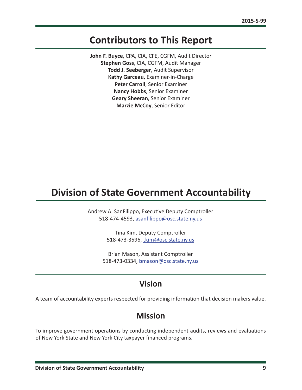## <span id="page-9-0"></span>**Contributors to This Report**

**John F. Buyce**, CPA, CIA, CFE, CGFM, Audit Director **Stephen Goss**, CIA, CGFM, Audit Manager **Todd J. Seeberger**, Audit Supervisor **Kathy Garceau**, Examiner-in-Charge **Peter Carroll**, Senior Examiner **Nancy Hobbs**, Senior Examiner **Geary Sheeran**, Senior Examiner **Marzie McCoy**, Senior Editor

## **Division of State Government Accountability**

Andrew A. SanFilippo, Executive Deputy Comptroller 518-474-4593, [asanfilippo@osc.state.ny.us](mailto:asanfilippo%40osc.state.ny.us%0D?subject=)

> Tina Kim, Deputy Comptroller 518-473-3596, [tkim@osc.state.ny.us](mailto:tkim%40osc.state.ny.us?subject=)

Brian Mason, Assistant Comptroller 518-473-0334, [bmason@osc.state.ny.us](mailto:bmason%40osc.state.ny.us?subject=)

### **Vision**

A team of accountability experts respected for providing information that decision makers value.

#### **Mission**

To improve government operations by conducting independent audits, reviews and evaluations of New York State and New York City taxpayer financed programs.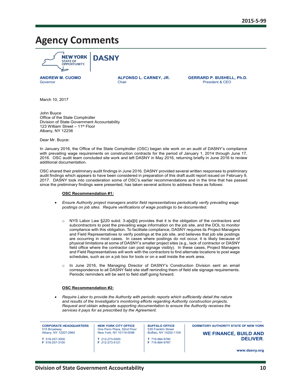## <span id="page-10-0"></span>**Agency Comments**



**ANDREW M. CUOMO ALFONSO L. CARNEY, JR. GERRARD P. BUSHELL, Ph.D.** President & CEO

March 10, 2017

John Buyce Office of the State Comptroller Division of State Government Accountability 123 William Street - 11<sup>th</sup> Floor Albany, NY 12236

Dear Mr. Buyce:

In January 2016, the Office of the State Comptroller (OSC) began site work on an audit of DASNY's compliance with prevailing wage requirements on construction contracts for the period of January 1, 2014 through June 17, 2016. OSC audit team concluded site work and left DASNY in May 2016, returning briefly in June 2016 to review additional documentation.

OSC shared their preliminary audit findings in June 2016. DASNY provided several written responses to preliminary audit findings which appears to have been considered in preparation of this draft audit report issued on February 9, 2017. DASNY took into consideration some of OSC's earlier recommendations and in the time that has passed since the preliminary findings were presented, has taken several actions to address these as follows:

#### **OSC Recommendation #1:**

- *Ensure Authority project managers and/or field representatives periodically verify prevailing wage postings on job sites. Require verifications of wage postings to be documented.*
	- o NYS Labor Law §220 subd. 3-a[a][ii] provides that it is the obligation of the contractors and subcontractors to post the prevailing wage information on the job site, and the DOL to monitor compliance with this obligation. To facilitate compliance, DASNY requires its Project Managers and Field Representatives to verify postings at the job site, and believes that job site postings are occurring in most cases. In cases where postings do not occur, it is likely because of physical limitations at some of DASNY's smaller project sites (e.g., lack of contractor or DASNY field office where the contractor can post signage visibly). In these cases, Project Managers and Field Representatives will work with the contractors to find alternate locations to post wage schedules, such as on a job box for tools or on a wall inside the work area.
	- o In June 2016, the Managing Director of DASNY's Construction Division sent an email correspondence to all DASNY field site staff reminding them of field site signage requirements. Periodic reminders will be sent to field staff going forward.

#### **OSC Recommendation #2:**

 *Require Labor to provide the Authority with periodic reports which sufficiently detail the nature and results of the Investigator's monitoring efforts regarding Authority construction projects. Request and obtain adequate supporting documentation to ensure the Authority receives the services it pays for as prescribed by the Agreement.*

**CORPORATE HEADQUARTERS** 515 Broadway Albany, NY 12207-2964

**T** 518-257-3000 **F** 518-257-3100 **NEW YORK CITY OFFICE**  One Penn Plaza, 52nd Floor New York, NY 10119-0098 **T** 212-273-5000

**F** 212-273-5121

**BUFFALO OFFICE** 539 Franklin Street Buffalo, NY 14202-1109 **T** 716-884-9780

**F** 716-884-9787

 **DORMITORY AUTHORITY STATE OF NEW YORK**

**WE FINANCE, BUILD AND DELIVER.**

**www.dasny.org**